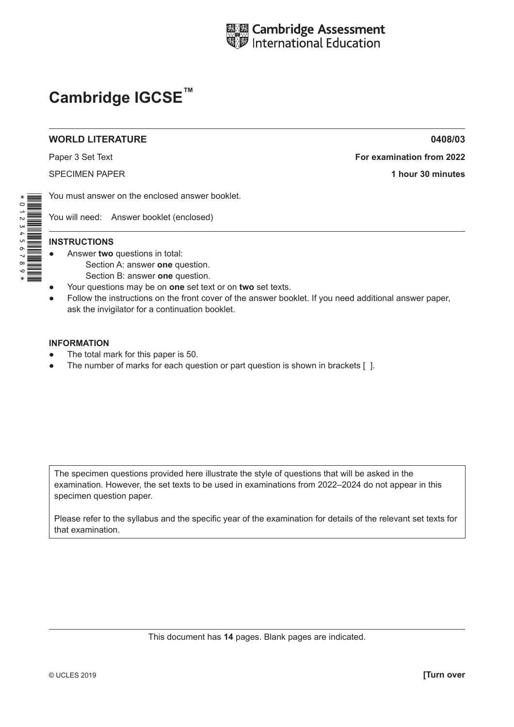

# **Cambridge IGCSE™**

# WORLD LITERATURE **0408/03**

Paper 3 Set Text **For examination from 2022**

SPECIMEN PAPER **1 hour 30 minutes**

You must answer on the enclosed answer booklet.

You will need: Answer booklet (enclosed)

# **INSTRUCTIONS**

- Answer **two** questions in total: Section A: answer **one** question. Section B: answer **one** question.
- Your questions may be on **one** set text or on **two** set texts.
- Follow the instructions on the front cover of the answer booklet. If you need additional answer paper, ask the invigilator for a continuation booklet.

#### **INFORMATION**

- The total mark for this paper is 50.
- The number of marks for each question or part question is shown in brackets  $[ ]$ .

The specimen questions provided here illustrate the style of questions that will be asked in the examination. However, the set texts to be used in examinations from 2022–2024 do not appear in this specimen question paper.

Please refer to the syllabus and the specific year of the examination for details of the relevant set texts for that examination.

This document has **14** pages. Blank pages are indicated.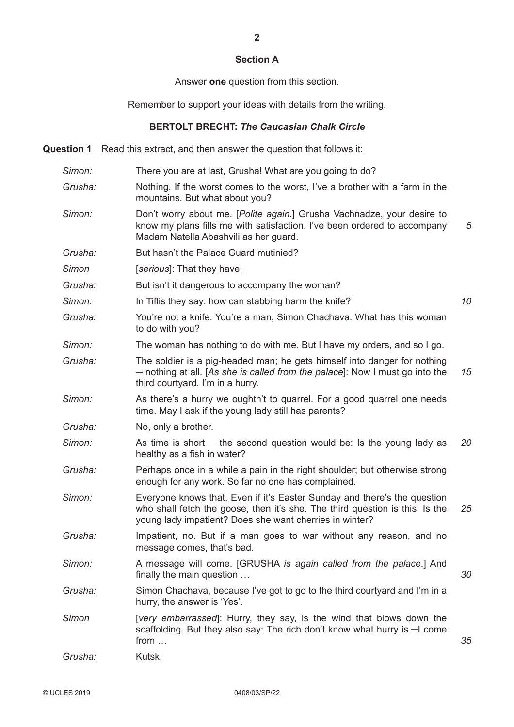# **Section A**

Answer **one** question from this section.

Remember to support your ideas with details from the writing.

# **BERTOLT BRECHT:** *The Caucasian Chalk Circle*

**Question 1** Read this extract, and then answer the question that follows it:

| Simon:       | There you are at last, Grusha! What are you going to do?                                                                                                                                                            |    |
|--------------|---------------------------------------------------------------------------------------------------------------------------------------------------------------------------------------------------------------------|----|
| Grusha:      | Nothing. If the worst comes to the worst, I've a brother with a farm in the<br>mountains. But what about you?                                                                                                       |    |
| Simon:       | Don't worry about me. [Polite again.] Grusha Vachnadze, your desire to<br>know my plans fills me with satisfaction. I've been ordered to accompany<br>Madam Natella Abashvili as her guard.                         | 5  |
| Grusha:      | But hasn't the Palace Guard mutinied?                                                                                                                                                                               |    |
| <b>Simon</b> | [serious]: That they have.                                                                                                                                                                                          |    |
| Grusha:      | But isn't it dangerous to accompany the woman?                                                                                                                                                                      |    |
| Simon:       | In Tiflis they say: how can stabbing harm the knife?                                                                                                                                                                | 10 |
| Grusha:      | You're not a knife. You're a man, Simon Chachava. What has this woman<br>to do with you?                                                                                                                            |    |
| Simon:       | The woman has nothing to do with me. But I have my orders, and so I go.                                                                                                                                             |    |
| Grusha:      | The soldier is a pig-headed man; he gets himself into danger for nothing<br>- nothing at all. [As she is called from the palace]: Now I must go into the<br>third courtyard. I'm in a hurry.                        | 15 |
| Simon:       | As there's a hurry we oughtn't to quarrel. For a good quarrel one needs<br>time. May I ask if the young lady still has parents?                                                                                     |    |
| Grusha:      | No, only a brother.                                                                                                                                                                                                 |    |
| Simon:       | As time is short $-$ the second question would be: Is the young lady as<br>healthy as a fish in water?                                                                                                              | 20 |
| Grusha:      | Perhaps once in a while a pain in the right shoulder; but otherwise strong<br>enough for any work. So far no one has complained.                                                                                    |    |
| Simon:       | Everyone knows that. Even if it's Easter Sunday and there's the question<br>who shall fetch the goose, then it's she. The third question is this: Is the<br>young lady impatient? Does she want cherries in winter? | 25 |
| Grusha:      | Impatient, no. But if a man goes to war without any reason, and no<br>message comes, that's bad.                                                                                                                    |    |
| Simon:       | A message will come. [GRUSHA is again called from the palace.] And<br>finally the main question                                                                                                                     | 30 |
| Grusha:      | Simon Chachava, because I've got to go to the third courtyard and I'm in a<br>hurry, the answer is 'Yes'.                                                                                                           |    |
| Simon        | [very embarrassed]: Hurry, they say, is the wind that blows down the<br>scaffolding. But they also say: The rich don't know what hurry is.—I come<br>from                                                           | 35 |
| Grusha:      | Kutsk.                                                                                                                                                                                                              |    |
|              |                                                                                                                                                                                                                     |    |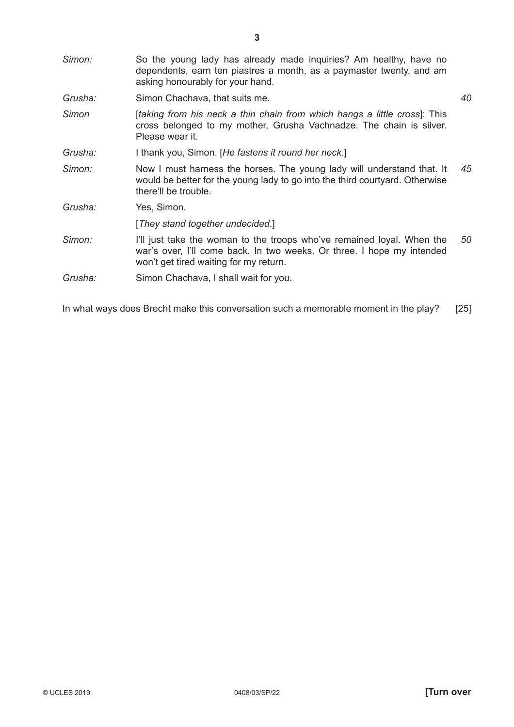| Simon:  | So the young lady has already made inquiries? Am healthy, have no<br>dependents, earn ten piastres a month, as a paymaster twenty, and am<br>asking honourably for your hand.              |    |
|---------|--------------------------------------------------------------------------------------------------------------------------------------------------------------------------------------------|----|
| Grusha: | Simon Chachava, that suits me.                                                                                                                                                             | 40 |
| Simon   | [taking from his neck a thin chain from which hangs a little cross]: This<br>cross belonged to my mother, Grusha Vachnadze. The chain is silver.<br>Please wear it.                        |    |
| Grusha: | I thank you, Simon. [He fastens it round her neck.]                                                                                                                                        |    |
| Simon:  | Now I must harness the horses. The young lady will understand that. It<br>would be better for the young lady to go into the third courtyard. Otherwise<br>there'll be trouble.             | 45 |
| Grusha: | Yes, Simon.                                                                                                                                                                                |    |
|         | [They stand together undecided.]                                                                                                                                                           |    |
| Simon:  | I'll just take the woman to the troops who've remained loyal. When the<br>war's over, I'll come back. In two weeks. Or three. I hope my intended<br>won't get tired waiting for my return. | 50 |
| Grusha: | Simon Chachava, I shall wait for you.                                                                                                                                                      |    |

**3**

In what ways does Brecht make this conversation such a memorable moment in the play? [25]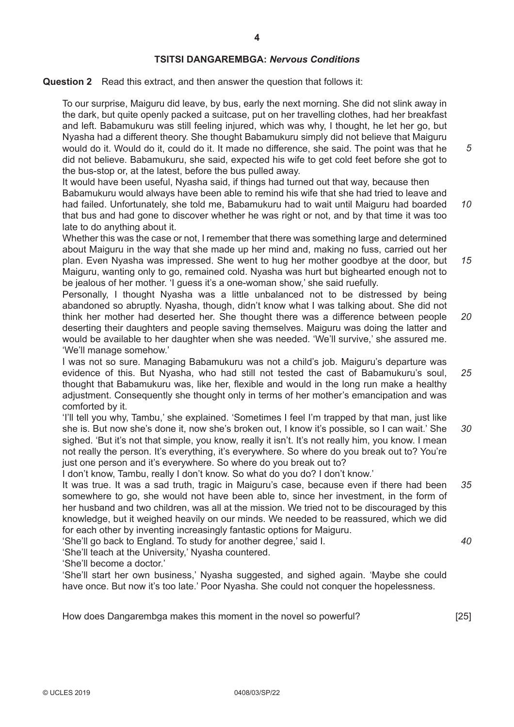## **TSITSI DANGAREMBGA:** *Nervous Conditions*

**Question 2** Read this extract, and then answer the question that follows it:

To our surprise, Maiguru did leave, by bus, early the next morning. She did not slink away in the dark, but quite openly packed a suitcase, put on her travelling clothes, had her breakfast and left. Babamukuru was still feeling injured, which was why, I thought, he let her go, but Nyasha had a different theory. She thought Babamukuru simply did not believe that Maiguru would do it. Would do it, could do it. It made no difference, she said. The point was that he did not believe. Babamukuru, she said, expected his wife to get cold feet before she got to the bus-stop or, at the latest, before the bus pulled away.

It would have been useful, Nyasha said, if things had turned out that way, because then Babamukuru would always have been able to remind his wife that she had tried to leave and had failed. Unfortunately, she told me, Babamukuru had to wait until Maiguru had boarded that bus and had gone to discover whether he was right or not, and by that time it was too late to do anything about it. *10*

Whether this was the case or not, I remember that there was something large and determined about Maiguru in the way that she made up her mind and, making no fuss, carried out her plan. Even Nyasha was impressed. She went to hug her mother goodbye at the door, but Maiguru, wanting only to go, remained cold. Nyasha was hurt but bighearted enough not to be jealous of her mother. 'I guess it's a one-woman show,' she said ruefully. *15*

Personally, I thought Nyasha was a little unbalanced not to be distressed by being abandoned so abruptly. Nyasha, though, didn't know what I was talking about. She did not think her mother had deserted her. She thought there was a difference between people deserting their daughters and people saving themselves. Maiguru was doing the latter and would be available to her daughter when she was needed. 'We'll survive,' she assured me. 'We'll manage somehow.' *20*

I was not so sure. Managing Babamukuru was not a child's job. Maiguru's departure was evidence of this. But Nyasha, who had still not tested the cast of Babamukuru's soul, thought that Babamukuru was, like her, flexible and would in the long run make a healthy adjustment. Consequently she thought only in terms of her mother's emancipation and was comforted by it. *25*

'I'll tell you why, Tambu,' she explained. 'Sometimes I feel I'm trapped by that man, just like she is. But now she's done it, now she's broken out, I know it's possible, so I can wait.' She sighed. 'But it's not that simple, you know, really it isn't. It's not really him, you know. I mean not really the person. It's everything, it's everywhere. So where do you break out to? You're just one person and it's everywhere. So where do you break out to? *30*

I don't know, Tambu, really I don't know. So what do you do? I don't know.'

It was true. It was a sad truth, tragic in Maiguru's case, because even if there had been somewhere to go, she would not have been able to, since her investment, in the form of her husband and two children, was all at the mission. We tried not to be discouraged by this knowledge, but it weighed heavily on our minds. We needed to be reassured, which we did for each other by inventing increasingly fantastic options for Maiguru. *35 40*

'She'll go back to England. To study for another degree,' said I.

'She'll teach at the University,' Nyasha countered.

'She'll become a doctor.'

'She'll start her own business,' Nyasha suggested, and sighed again. 'Maybe she could have once. But now it's too late.' Poor Nyasha. She could not conquer the hopelessness.

How does Dangarembga makes this moment in the novel so powerful? [25]

*5*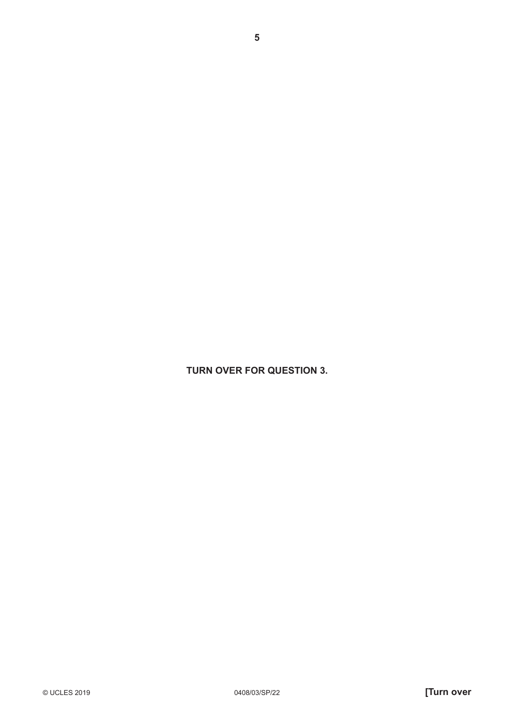**TURN OVER FOR QUESTION 3.**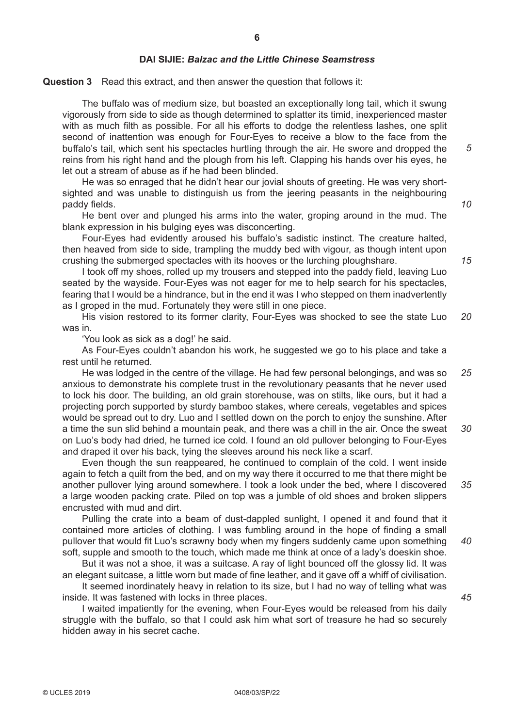## **DAI SIJIE:** *Balzac and the Little Chinese Seamstress*

#### **Question 3** Read this extract, and then answer the question that follows it:

The buffalo was of medium size, but boasted an exceptionally long tail, which it swung vigorously from side to side as though determined to splatter its timid, inexperienced master with as much filth as possible. For all his efforts to dodge the relentless lashes, one split second of inattention was enough for Four-Eyes to receive a blow to the face from the buffalo's tail, which sent his spectacles hurtling through the air. He swore and dropped the reins from his right hand and the plough from his left. Clapping his hands over his eyes, he let out a stream of abuse as if he had been blinded.

He was so enraged that he didn't hear our jovial shouts of greeting. He was very shortsighted and was unable to distinguish us from the jeering peasants in the neighbouring paddy fields.

He bent over and plunged his arms into the water, groping around in the mud. The blank expression in his bulging eyes was disconcerting.

Four-Eyes had evidently aroused his buffalo's sadistic instinct. The creature halted, then heaved from side to side, trampling the muddy bed with vigour, as though intent upon crushing the submerged spectacles with its hooves or the lurching ploughshare.

I took off my shoes, rolled up my trousers and stepped into the paddy field, leaving Luo seated by the wayside. Four-Eyes was not eager for me to help search for his spectacles, fearing that I would be a hindrance, but in the end it was I who stepped on them inadvertently as I groped in the mud. Fortunately they were still in one piece.

His vision restored to its former clarity, Four-Eyes was shocked to see the state Luo was in. *20*

'You look as sick as a dog!' he said.

As Four-Eyes couldn't abandon his work, he suggested we go to his place and take a rest until he returned.

He was lodged in the centre of the village. He had few personal belongings, and was so anxious to demonstrate his complete trust in the revolutionary peasants that he never used to lock his door. The building, an old grain storehouse, was on stilts, like ours, but it had a projecting porch supported by sturdy bamboo stakes, where cereals, vegetables and spices would be spread out to dry. Luo and I settled down on the porch to enjoy the sunshine. After a time the sun slid behind a mountain peak, and there was a chill in the air. Once the sweat on Luo's body had dried, he turned ice cold. I found an old pullover belonging to Four-Eyes and draped it over his back, tying the sleeves around his neck like a scarf. *25 30*

Even though the sun reappeared, he continued to complain of the cold. I went inside again to fetch a quilt from the bed, and on my way there it occurred to me that there might be another pullover lying around somewhere. I took a look under the bed, where I discovered a large wooden packing crate. Piled on top was a jumble of old shoes and broken slippers encrusted with mud and dirt. *35*

Pulling the crate into a beam of dust-dappled sunlight, I opened it and found that it contained more articles of clothing. I was fumbling around in the hope of finding a small pullover that would fit Luo's scrawny body when my fingers suddenly came upon something soft, supple and smooth to the touch, which made me think at once of a lady's doeskin shoe. *40*

But it was not a shoe, it was a suitcase. A ray of light bounced off the glossy lid. It was an elegant suitcase, a little worn but made of fine leather, and it gave off a whiff of civilisation.

It seemed inordinately heavy in relation to its size, but I had no way of telling what was inside. It was fastened with locks in three places.

I waited impatiently for the evening, when Four-Eyes would be released from his daily struggle with the buffalo, so that I could ask him what sort of treasure he had so securely hidden away in his secret cache.

*45*

*15*

*10*

*5*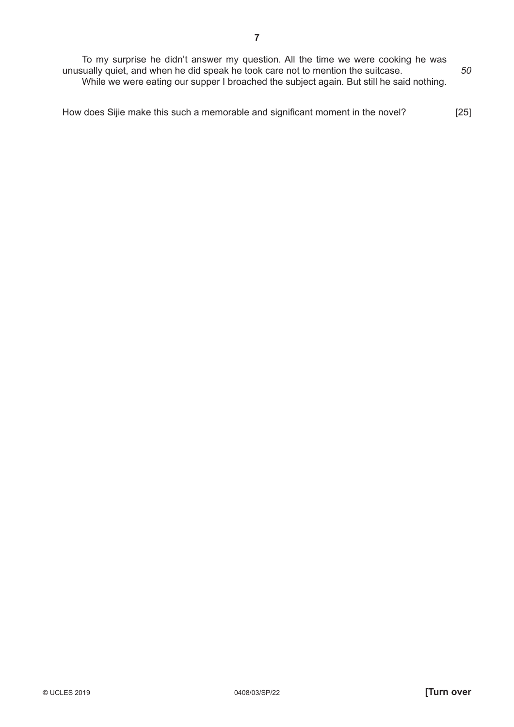| To my surprise he didn't answer my question. All the time we were cooking he was<br>unusually quiet, and when he did speak he took care not to mention the suitcase.<br>50<br>While we were eating our supper I broached the subject again. But still he said nothing. |
|------------------------------------------------------------------------------------------------------------------------------------------------------------------------------------------------------------------------------------------------------------------------|
|------------------------------------------------------------------------------------------------------------------------------------------------------------------------------------------------------------------------------------------------------------------------|

| How does Sijie make this such a memorable and significant moment in the novel? | $[25]$ |
|--------------------------------------------------------------------------------|--------|
|                                                                                |        |
|                                                                                |        |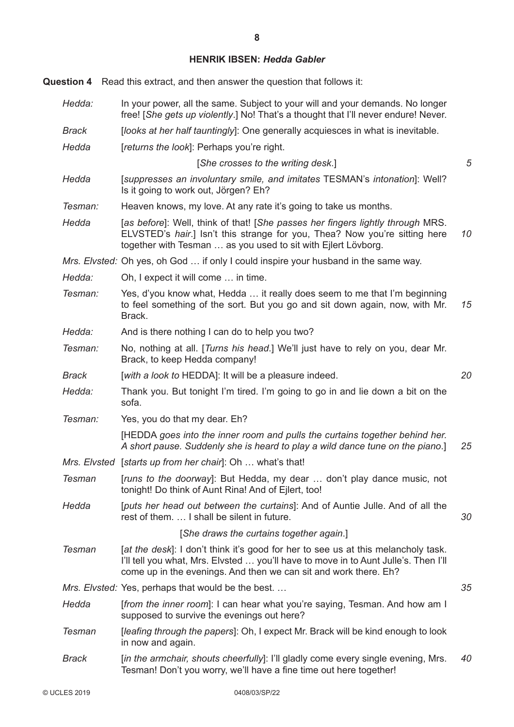|               | <b>Question 4</b> Read this extract, and then answer the question that follows it:                                                                                                                                                           |    |
|---------------|----------------------------------------------------------------------------------------------------------------------------------------------------------------------------------------------------------------------------------------------|----|
| Hedda:        | In your power, all the same. Subject to your will and your demands. No longer<br>free! [She gets up violently.] No! That's a thought that I'll never endure! Never.                                                                          |    |
| <b>Brack</b>  | [looks at her half tauntingly]: One generally acquiesces in what is inevitable.                                                                                                                                                              |    |
| Hedda         | [returns the look]: Perhaps you're right.                                                                                                                                                                                                    |    |
|               | [She crosses to the writing desk.]                                                                                                                                                                                                           | 5  |
| Hedda         | [suppresses an involuntary smile, and imitates TESMAN's intonation]: Well?<br>Is it going to work out, Jörgen? Eh?                                                                                                                           |    |
| Tesman:       | Heaven knows, my love. At any rate it's going to take us months.                                                                                                                                                                             |    |
| Hedda         | [as before]: Well, think of that! [She passes her fingers lightly through MRS.<br>ELVSTED's hair.] Isn't this strange for you, Thea? Now you're sitting here<br>together with Tesman  as you used to sit with Ejlert Lövborg.                | 10 |
|               | Mrs. Elvsted: Oh yes, oh God  if only I could inspire your husband in the same way.                                                                                                                                                          |    |
| Hedda:        | Oh, I expect it will come  in time.                                                                                                                                                                                                          |    |
| Tesman:       | Yes, d'you know what, Hedda  it really does seem to me that I'm beginning<br>to feel something of the sort. But you go and sit down again, now, with Mr.<br>Brack.                                                                           | 15 |
| Hedda:        | And is there nothing I can do to help you two?                                                                                                                                                                                               |    |
| Tesman:       | No, nothing at all. [Turns his head.] We'll just have to rely on you, dear Mr.<br>Brack, to keep Hedda company!                                                                                                                              |    |
| <b>Brack</b>  | [with a look to HEDDA]: It will be a pleasure indeed.                                                                                                                                                                                        | 20 |
| Hedda:        | Thank you. But tonight I'm tired. I'm going to go in and lie down a bit on the<br>sofa.                                                                                                                                                      |    |
| Tesman:       | Yes, you do that my dear. Eh?                                                                                                                                                                                                                |    |
|               | [HEDDA goes into the inner room and pulls the curtains together behind her.<br>A short pause. Suddenly she is heard to play a wild dance tune on the piano.]                                                                                 | 25 |
|               | Mrs. Elvsted [starts up from her chair]: Oh  what's that!                                                                                                                                                                                    |    |
| <b>Tesman</b> | [runs to the doorway]: But Hedda, my dear  don't play dance music, not<br>tonight! Do think of Aunt Rina! And of Ejlert, too!                                                                                                                |    |
| Hedda         | [puts her head out between the curtains]: And of Auntie Julle. And of all the<br>rest of them.  I shall be silent in future.                                                                                                                 | 30 |
|               | [She draws the curtains together again.]                                                                                                                                                                                                     |    |
| <b>Tesman</b> | [at the desk]: I don't think it's good for her to see us at this melancholy task.<br>I'll tell you what, Mrs. Elvsted  you'll have to move in to Aunt Julle's. Then I'll<br>come up in the evenings. And then we can sit and work there. Eh? |    |
|               | Mrs. Elvsted: Yes, perhaps that would be the best                                                                                                                                                                                            | 35 |
| Hedda         | [from the inner room]: I can hear what you're saying, Tesman. And how am I<br>supposed to survive the evenings out here?                                                                                                                     |    |
| <b>Tesman</b> | [leafing through the papers]: Oh, I expect Mr. Brack will be kind enough to look<br>in now and again.                                                                                                                                        |    |
| <b>Brack</b>  | [in the armchair, shouts cheerfully]: I'll gladly come every single evening, Mrs.<br>Tesman! Don't you worry, we'll have a fine time out here together!                                                                                      | 40 |

**HENRIK IBSEN:** *Hedda Gabler*

# © UCLES 2019 0408/03/SP/22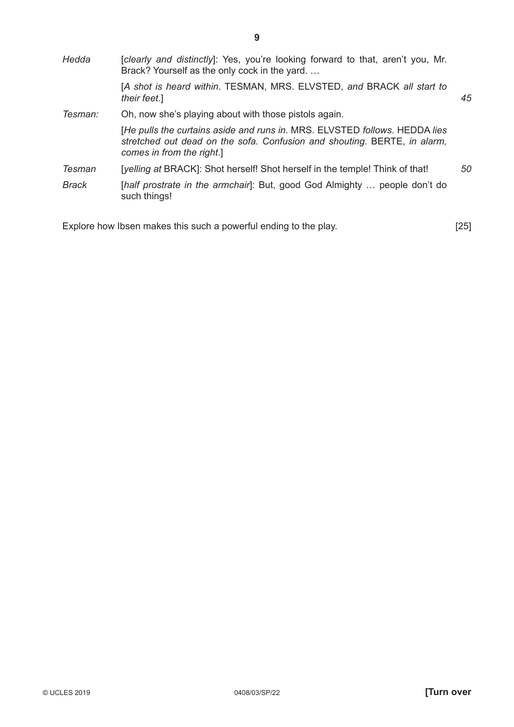| Hedda        | [clearly and distinctly]: Yes, you're looking forward to that, aren't you, Mr.<br>Brack? Yourself as the only cock in the yard                                                      |    |
|--------------|-------------------------------------------------------------------------------------------------------------------------------------------------------------------------------------|----|
|              | [A shot is heard within. TESMAN, MRS. ELVSTED, and BRACK all start to<br>their feet.]                                                                                               | 45 |
| Tesman:      | Oh, now she's playing about with those pistols again.                                                                                                                               |    |
|              | [He pulls the curtains aside and runs in. MRS. ELVSTED follows. HEDDA lies<br>stretched out dead on the sofa. Confusion and shouting. BERTE, in alarm,<br>comes in from the right.] |    |
| Tesman       | [yelling at BRACK]: Shot herself! Shot herself in the temple! Think of that!                                                                                                        | 50 |
| <b>Brack</b> | [half prostrate in the armchair]: But, good God Almighty  people don't do<br>such things!                                                                                           |    |

Explore how Ibsen makes this such a powerful ending to the play. [25]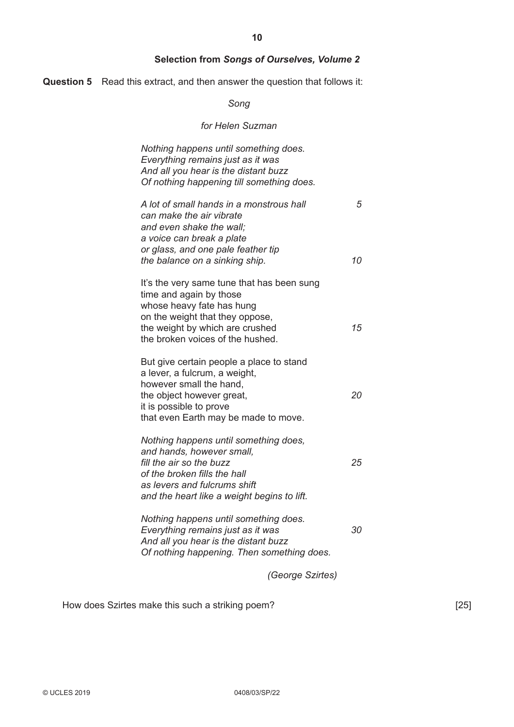# **Selection from** *Songs of Ourselves, Volume 2*

|  | <b>Question 5</b> Read this extract, and then answer the question that follows it: |  |
|--|------------------------------------------------------------------------------------|--|
|--|------------------------------------------------------------------------------------|--|

# *Song*

# *for Helen Suzman*

| Nothing happens until something does.<br>Everything remains just as it was<br>And all you hear is the distant buzz<br>Of nothing happening till something does.                                               |         |
|---------------------------------------------------------------------------------------------------------------------------------------------------------------------------------------------------------------|---------|
| A lot of small hands in a monstrous hall<br>can make the air vibrate<br>and even shake the wall;<br>a voice can break a plate<br>or glass, and one pale feather tip<br>the balance on a sinking ship.         | 5<br>10 |
| It's the very same tune that has been sung<br>time and again by those<br>whose heavy fate has hung<br>on the weight that they oppose,<br>the weight by which are crushed<br>the broken voices of the hushed.  | 15      |
| But give certain people a place to stand<br>a lever, a fulcrum, a weight,<br>however small the hand.<br>the object however great,<br>it is possible to prove<br>that even Earth may be made to move.          | 20      |
| Nothing happens until something does,<br>and hands, however small,<br>fill the air so the buzz<br>of the broken fills the hall<br>as levers and fulcrums shift<br>and the heart like a weight begins to lift. | 25      |
| Nothing happens until something does.<br>Everything remains just as it was<br>And all you hear is the distant buzz<br>Of nothing happening. Then something does.                                              | 30      |
| (George Szirtes)                                                                                                                                                                                              |         |

How does Szirtes make this such a striking poem? [25]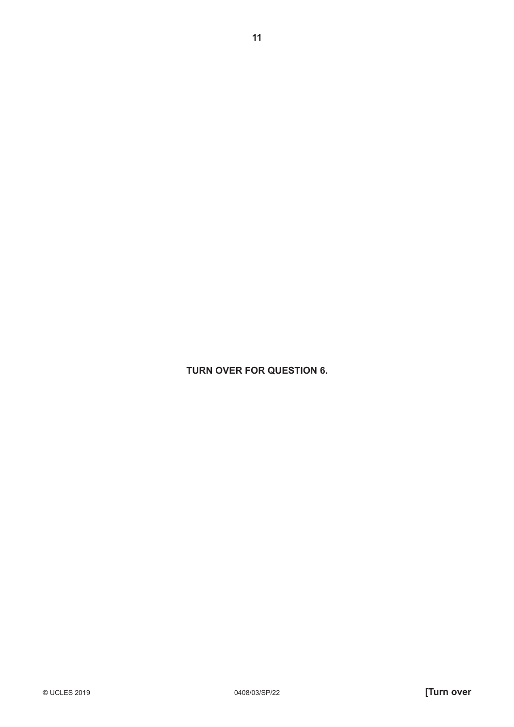**TURN OVER FOR QUESTION 6.**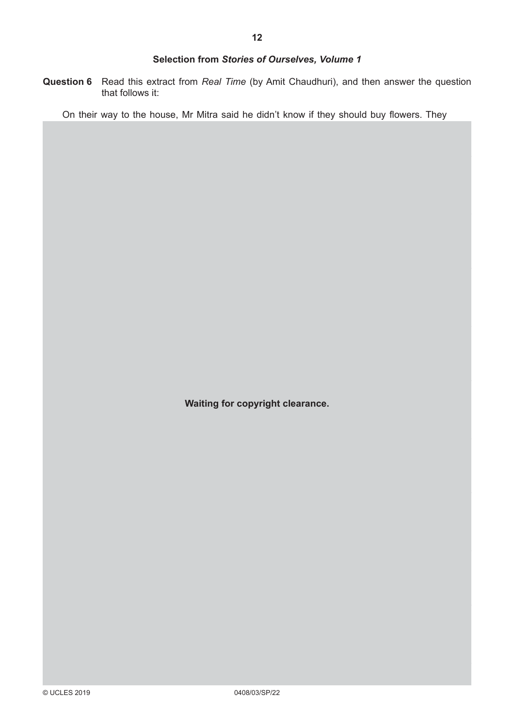# **Selection from** *Stories of Ourselves, Volume 1*

**Question 6** Read this extract from *Real Time* (by Amit Chaudhuri), and then answer the question that follows it:

On their way to the house, Mr Mitra said he didn't know if they should buy flowers. They

these inescapable periods of waiting, moved a little. He placed the tuberoses in the front, next to Abdul, where they smeared the seat with their moisture. Mr Mitra had wasted some **Waiting for copyright clearance.**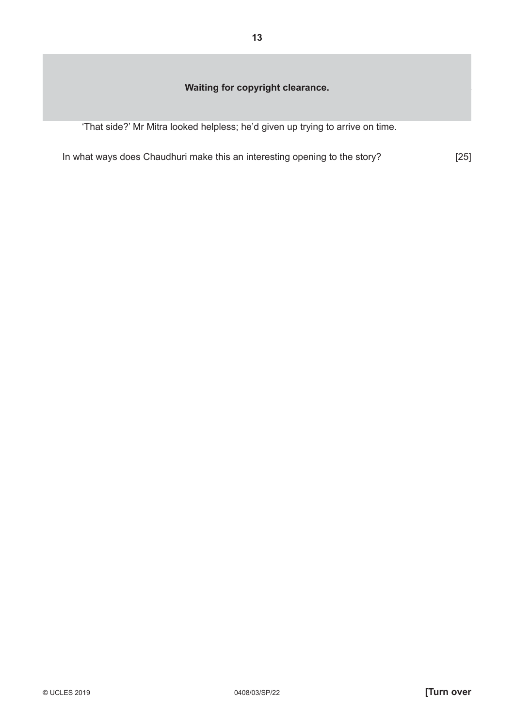#### $s_p = \frac{1}{2}$ spacious courty are  $\frac{1}{2}$  they had to stop again and ask and ask and ask and ask and ask and ask and ask and ask and ask and ask and ask and ask and ask and ask and ask and ask and ask and ask and ask and adolescent standing by a gate where Nishant Apartments was. The boy scratched his arm **Waiting for copyright clearance.**

'That side?' Mr Mitra looked helpless; he'd given up trying to arrive on time.

| In what ways does Chaudhuri make this an interesting opening to the story? | $[25]$ |
|----------------------------------------------------------------------------|--------|
|                                                                            |        |